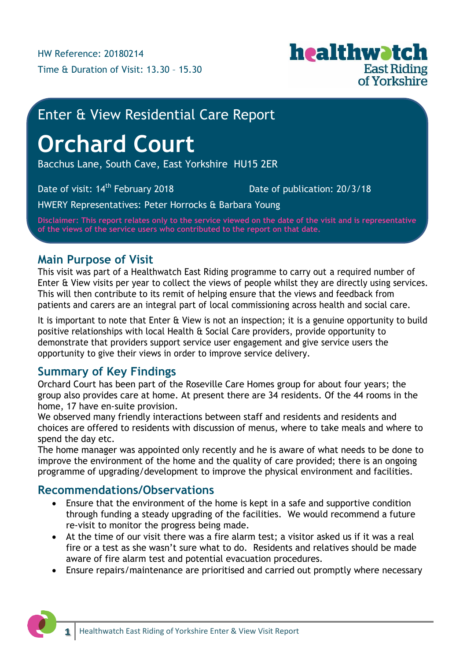

# Enter & View Residential Care Report

# **Orchard Court**

Bacchus Lane, South Cave, East Yorkshire HU15 2ER

Date of visit: 14<sup>th</sup> February 2018 **Date of publication: 20/3/18** 

HWERY Representatives: Peter Horrocks & Barbara Young

**Disclaimer: This report relates only to the service viewed on the date of the visit and is representative of the views of the service users who contributed to the report on that date.**

# **Main Purpose of Visit**

This visit was part of a Healthwatch East Riding programme to carry out a required number of Enter & View visits per year to collect the views of people whilst they are directly using services. This will then contribute to its remit of helping ensure that the views and feedback from patients and carers are an integral part of local commissioning across health and social care.

It is important to note that Enter & View is not an inspection; it is a genuine opportunity to build positive relationships with local Health & Social Care providers, provide opportunity to demonstrate that providers support service user engagement and give service users the opportunity to give their views in order to improve service delivery.

# **Summary of Key Findings**

Orchard Court has been part of the Roseville Care Homes group for about four years; the group also provides care at home. At present there are 34 residents. Of the 44 rooms in the home, 17 have en-suite provision.

We observed many friendly interactions between staff and residents and residents and choices are offered to residents with discussion of menus, where to take meals and where to spend the day etc.

The home manager was appointed only recently and he is aware of what needs to be done to improve the environment of the home and the quality of care provided; there is an ongoing programme of upgrading/development to improve the physical environment and facilities.

## **Recommendations/Observations**

- Ensure that the environment of the home is kept in a safe and supportive condition through funding a steady upgrading of the facilities. We would recommend a future re-visit to monitor the progress being made.
- At the time of our visit there was a fire alarm test; a visitor asked us if it was a real fire or a test as she wasn't sure what to do. Residents and relatives should be made aware of fire alarm test and potential evacuation procedures.
- Ensure repairs/maintenance are prioritised and carried out promptly where necessary

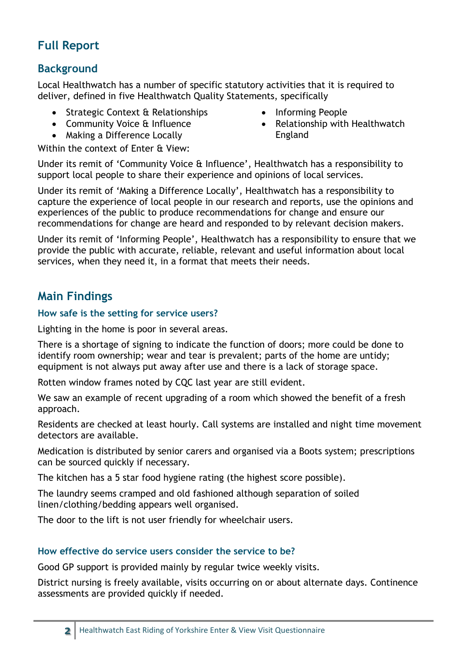# **Full Report**

### **Background**

Local Healthwatch has a number of specific statutory activities that it is required to deliver, defined in five Healthwatch Quality Statements, specifically

- Strategic Context & Relationships
- Community Voice & Influence
- Making a Difference Locally

Within the context of Enter & View:

- Informing People
- Relationship with Healthwatch England

Under its remit of 'Community Voice & Influence', Healthwatch has a responsibility to support local people to share their experience and opinions of local services.

Under its remit of 'Making a Difference Locally', Healthwatch has a responsibility to capture the experience of local people in our research and reports, use the opinions and experiences of the public to produce recommendations for change and ensure our recommendations for change are heard and responded to by relevant decision makers.

Under its remit of 'Informing People', Healthwatch has a responsibility to ensure that we provide the public with accurate, reliable, relevant and useful information about local services, when they need it, in a format that meets their needs.

# **Main Findings**

#### **How safe is the setting for service users?**

Lighting in the home is poor in several areas.

There is a shortage of signing to indicate the function of doors; more could be done to identify room ownership; wear and tear is prevalent; parts of the home are untidy; equipment is not always put away after use and there is a lack of storage space.

Rotten window frames noted by CQC last year are still evident.

We saw an example of recent upgrading of a room which showed the benefit of a fresh approach.

Residents are checked at least hourly. Call systems are installed and night time movement detectors are available.

Medication is distributed by senior carers and organised via a Boots system; prescriptions can be sourced quickly if necessary.

The kitchen has a 5 star food hygiene rating (the highest score possible).

The laundry seems cramped and old fashioned although separation of soiled linen/clothing/bedding appears well organised.

The door to the lift is not user friendly for wheelchair users.

#### **How effective do service users consider the service to be?**

Good GP support is provided mainly by regular twice weekly visits.

District nursing is freely available, visits occurring on or about alternate days. Continence assessments are provided quickly if needed.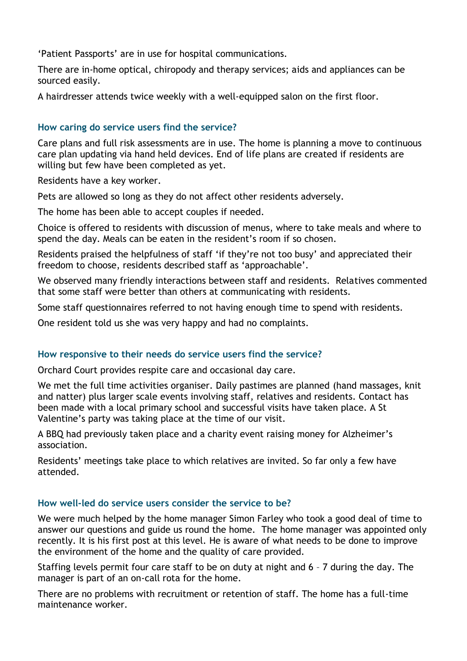'Patient Passports' are in use for hospital communications.

There are in-home optical, chiropody and therapy services; aids and appliances can be sourced easily.

A hairdresser attends twice weekly with a well-equipped salon on the first floor.

#### **How caring do service users find the service?**

Care plans and full risk assessments are in use. The home is planning a move to continuous care plan updating via hand held devices. End of life plans are created if residents are willing but few have been completed as yet.

Residents have a key worker.

Pets are allowed so long as they do not affect other residents adversely.

The home has been able to accept couples if needed.

Choice is offered to residents with discussion of menus, where to take meals and where to spend the day. Meals can be eaten in the resident's room if so chosen.

Residents praised the helpfulness of staff 'if they're not too busy' and appreciated their freedom to choose, residents described staff as 'approachable'.

We observed many friendly interactions between staff and residents. Relatives commented that some staff were better than others at communicating with residents.

Some staff questionnaires referred to not having enough time to spend with residents.

One resident told us she was very happy and had no complaints.

#### **How responsive to their needs do service users find the service?**

Orchard Court provides respite care and occasional day care.

We met the full time activities organiser. Daily pastimes are planned (hand massages, knit and natter) plus larger scale events involving staff, relatives and residents. Contact has been made with a local primary school and successful visits have taken place. A St Valentine's party was taking place at the time of our visit.

A BBQ had previously taken place and a charity event raising money for Alzheimer's association.

Residents' meetings take place to which relatives are invited. So far only a few have attended.

#### **How well-led do service users consider the service to be?**

We were much helped by the home manager Simon Farley who took a good deal of time to answer our questions and guide us round the home. The home manager was appointed only recently. It is his first post at this level. He is aware of what needs to be done to improve the environment of the home and the quality of care provided.

Staffing levels permit four care staff to be on duty at night and 6 – 7 during the day. The manager is part of an on-call rota for the home.

There are no problems with recruitment or retention of staff. The home has a full-time maintenance worker.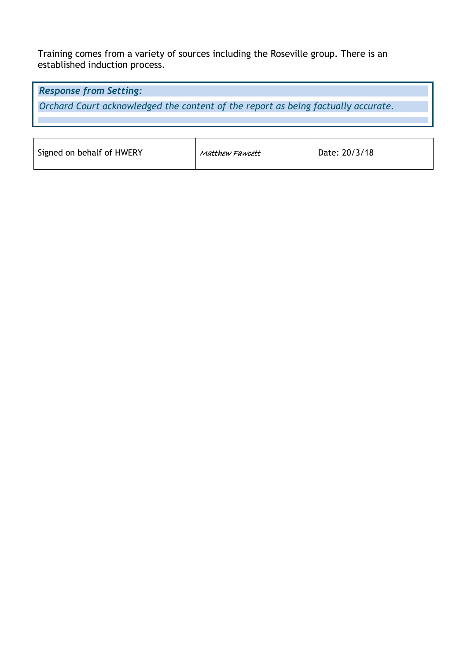Training comes from a variety of sources including the Roseville group. There is an established induction process.

*Response from Setting: Orchard Court acknowledged the content of the report as being factually accurate.*

| Signed on behalf of HWERY | Matthew Fawcett | Date: 20/3/18 |
|---------------------------|-----------------|---------------|
|                           |                 |               |